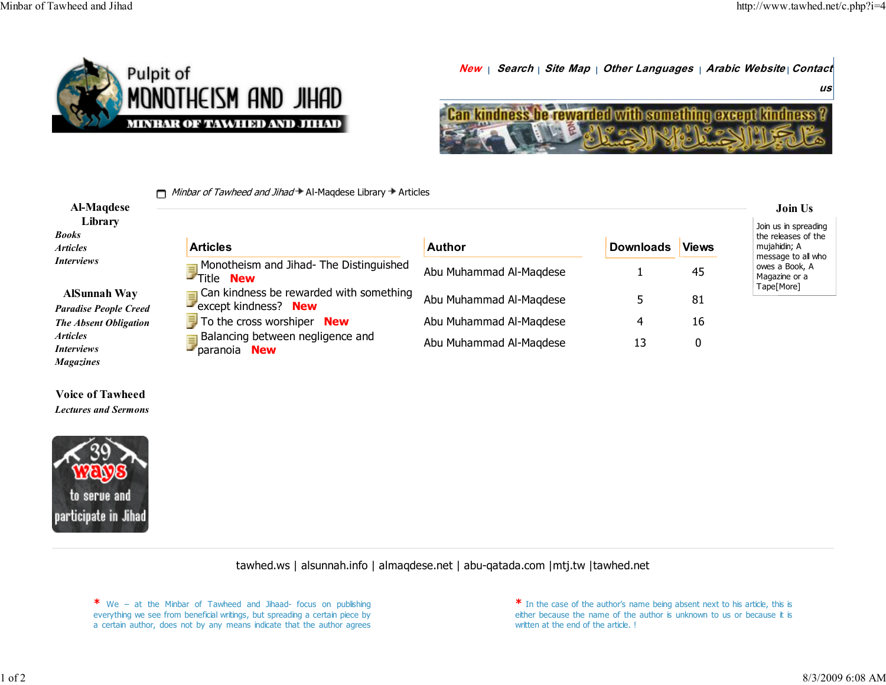

New  $\mid$  Search  $\mid$  Site Map  $\mid$  Other Languages  $\mid$  Arabic Website $\mid$  Contact

us

Join Us



Al-Maqdese $Li$  Books ArticlesInterviews

**AlSun** Paradise The Abse Articles InterviewsMagazines

Voice of TawheedLectures and Sermons



Minbar of Tawheed and Jihad  $A$  Al-Maqdese Library  $A$  Articles

| brarv                          |                                                                            |                         |                  |              | Join us in spreading                                  |
|--------------------------------|----------------------------------------------------------------------------|-------------------------|------------------|--------------|-------------------------------------------------------|
|                                | <b>Articles</b>                                                            | <b>Author</b>           | <b>Downloads</b> | <b>Views</b> | the releases of the<br>mujahidin; A                   |
|                                | $\blacksquare$ Monotheism and Jihad- The Distinguished<br>Title <b>New</b> | Abu Muhammad Al-Magdese |                  | 45           | message to all who<br>owes a Book, A<br>Magazine or a |
| nah Way<br><b>People Creed</b> | $\Box$ Can kindness be rewarded with something<br>except kindness? New     | Abu Muhammad Al-Magdese |                  | 81           | Tape[More]                                            |
| nt Obligation                  | $\frac{1}{2}$ To the cross worshiper <b>New</b>                            | Abu Muhammad Al-Magdese |                  | 16           |                                                       |
|                                | <b>Balancing between negligence and</b><br>paranoia New                    | Abu Muhammad Al-Magdese | 13               |              |                                                       |
| 9 C                            |                                                                            |                         |                  |              |                                                       |

tawhed.ws | alsunnah.info | almaqdese.net | abu-qatada.com |mtj.tw |tawhed.net

\* We – at the Minbar of Tawheed and Jihaad- focus on publishing everything we see from beneficial writings, but spreading a certain piece bya certain author, does not by any means indicate that the author agrees

\* In the case of the author's name being absent next to his article, this is either because the name of the author is unknown to us or because it iswritten at the end of the article. !

1 of 2